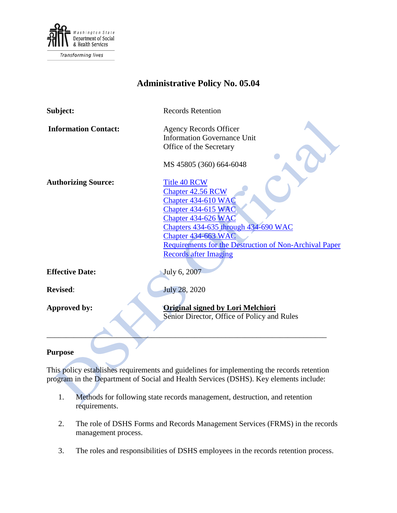

# **Administrative Policy No. 05.04**

| Subject:                    | <b>Records Retention</b>                                                                                                                                                                                       |
|-----------------------------|----------------------------------------------------------------------------------------------------------------------------------------------------------------------------------------------------------------|
| <b>Information Contact:</b> | <b>Agency Records Officer</b><br><b>Information Governance Unit</b><br>Office of the Secretary                                                                                                                 |
| <b>Authorizing Source:</b>  | MS 45805 (360) 664-6048<br><b>Title 40 RCW</b><br><b>Chapter 42.56 RCW</b><br>Chapter 434-610 WAC<br>Chapter 434-615 WAC<br>Chapter 434-626 WAC<br>Chapters 434-635 through 434-690 WAC<br>Chapter 434-663 WAC |
|                             | <b>Requirements for the Destruction of Non-Archival Paper</b><br><b>Records after Imaging</b>                                                                                                                  |
| <b>Effective Date:</b>      | July 6, 2007                                                                                                                                                                                                   |
| <b>Revised:</b>             | July 28, 2020                                                                                                                                                                                                  |
| Approved by:                | <b>Original signed by Lori Melchiori</b><br>Senior Director, Office of Policy and Rules                                                                                                                        |

## **Purpose**

This policy establishes requirements and guidelines for implementing the records retention program in the Department of Social and Health Services (DSHS). Key elements include:

- 1. Methods for following state records management, destruction, and retention requirements.
- 2. The role of DSHS Forms and Records Management Services (FRMS) in the records management process.
- 3. The roles and responsibilities of DSHS employees in the records retention process.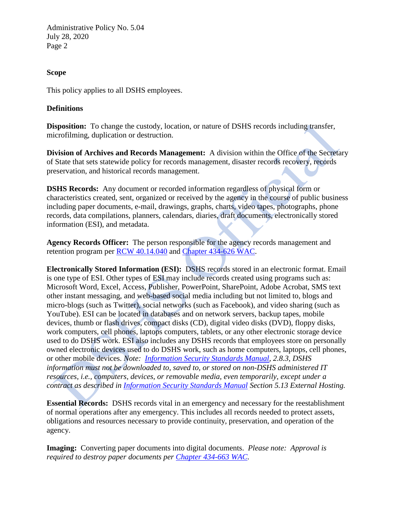#### **Scope**

This policy applies to all DSHS employees.

#### **Definitions**

**Disposition:** To change the custody, location, or nature of DSHS records including transfer, microfilming, duplication or destruction.

**Division of Archives and Records Management:** A division within the Office of the Secretary of State that sets statewide policy for records management, disaster records recovery, records preservation, and historical records management.

**DSHS Records:** Any document or recorded information regardless of physical form or characteristics created, sent, organized or received by the agency in the course of public business including paper documents, e-mail, drawings, graphs, charts, video tapes, photographs, phone records, data compilations, planners, calendars, diaries, draft documents, electronically stored information (ESI), and metadata.

**Agency Records Officer:** The person responsible for the agency records management and retention program per [RCW 40.14.040](http://apps.leg.wa.gov/RCW/default.aspx?cite=40.14.040) and [Chapter 434-626 WAC.](http://apps.leg.wa.gov/WAC/default.aspx?cite=434-626)

**Electronically Stored Information (ESI):** DSHS records stored in an electronic format. Email is one type of ESI. Other types of ESI may include records created using programs such as: Microsoft Word, Excel, Access, Publisher, PowerPoint, SharePoint, Adobe Acrobat, SMS text other instant messaging, and web-based social media including but not limited to, blogs and micro-blogs (such as Twitter), social networks (such as Facebook), and video sharing (such as YouTube). ESI can be located in databases and on network servers, backup tapes, mobile devices, thumb or flash drives, compact disks (CD), digital video disks (DVD), floppy disks, work computers, cell phones, laptops computers, tablets, or any other electronic storage device used to do DSHS work. ESI also includes any DSHS records that employees store on personally owned electronic devices used to do DSHS work, such as home computers, laptops, cell phones, or other mobile devices. *Note: [Information Security Standards Manual,](http://ishare.dshs.wa.lcl/Security/Manuals/Pages/default.aspx) 2.8.3, DSHS information must not be downloaded to, saved to, or stored on non-DSHS administered IT resources, i.e., computers, devices, or removable media, even temporarily, except under a contract as described in [Information Security Standards Manual](http://ishare.dshs.wa.lcl/Security/Manuals/Pages/default.aspx) Section 5.13 External Hosting.*

**Essential Records:** DSHS records vital in an emergency and necessary for the reestablishment of normal operations after any emergency. This includes all records needed to protect assets, obligations and resources necessary to provide continuity, preservation, and operation of the agency.

**Imaging:** Converting paper documents into digital documents. *Please note: Approval is required to destroy paper documents per [Chapter 434-663 WAC.](http://apps.leg.wa.gov/wac/default.aspx?cite=434-663)*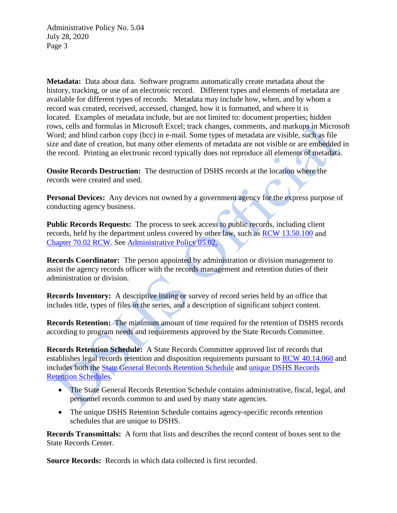**Metadata:** Data about data. Software programs automatically create metadata about the history, tracking, or use of an electronic record. Different types and elements of metadata are available for different types of records. Metadata may include how, when, and by whom a record was created, received, accessed, changed, how it is formatted, and where it is located. Examples of metadata include, but are not limited to: document properties; hidden rows, cells and formulas in Microsoft Excel; track changes, comments, and markups in Microsoft Word; and blind carbon copy (bcc) in e-mail. Some types of metadata are visible, such as file size and date of creation, but many other elements of metadata are not visible or are embedded in the record. Printing an electronic record typically does not reproduce all elements of metadata.

**Onsite Records Destruction:** The destruction of DSHS records at the location where the records were created and used.

**Personal Devices:** Any devices not owned by a government agency for the express purpose of conducting agency business.

**Public Records Requests:** The process to seek access to public records, including client records, held by the department unless covered by other law, such as [RCW 13.50.100](https://app.leg.wa.gov/RCW/default.aspx?cite=13.50.100) and [Chapter 70.02 RCW.](https://app.leg.wa.gov/RCW/default.aspx?cite=70.02) See [Administrative Policy 05.02.](http://one.dshs.wa.lcl/Policies/Administrative/DSHS-AP-05-02.pdf)

**Records Coordinator:** The person appointed by administration or division management to assist the agency records officer with the records management and retention duties of their administration or division.

**Records Inventory:** A descriptive listing or survey of record series held by an office that includes title, types of files in the series, and a description of significant subject content.

**Records Retention:** The minimum amount of time required for the retention of DSHS records according to program needs and requirements approved by the State Records Committee.

**Records Retention Schedule:** A State Records Committee approved list of records that establishes legal records retention and disposition requirements pursuant to [RCW 40.14.060](https://app.leg.wa.gov/RCW/default.aspx?cite=70.02) and includes both the [State General Records Retention Schedule](http://one.dshs.wa.lcl/FS/Loss/Records/Pages/Schedules.aspx) and unique DSHS Records [Retention Schedules.](http://one.dshs.wa.lcl/FS/Loss/Records/Pages/Schedules.aspx)

- The State General Records Retention Schedule contains administrative, fiscal, legal, and personnel records common to and used by many state agencies.
- The unique DSHS Retention Schedule contains agency-specific records retention schedules that are unique to DSHS.

**Records Transmittals:** A form that lists and describes the record content of boxes sent to the State Records Center.

**Source Records:** Records in which data collected is first recorded.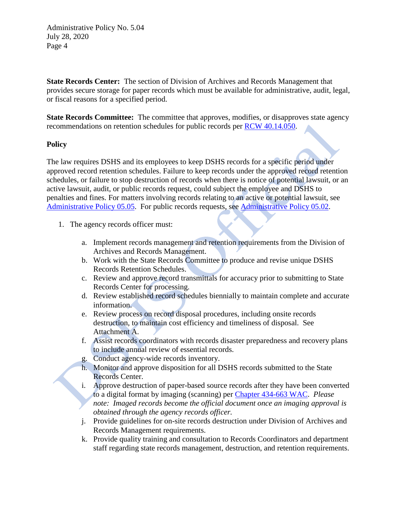**State Records Center:** The section of Division of Archives and Records Management that provides secure storage for paper records which must be available for administrative, audit, legal, or fiscal reasons for a specified period.

**State Records Committee:** The committee that approves, modifies, or disapproves state agency recommendations on retention schedules for public records per [RCW 40.14.050.](http://apps.leg.wa.gov/RCW/default.aspx?cite=40.14.050)

#### **Policy**

The law requires DSHS and its employees to keep DSHS records for a specific period under approved record retention schedules. Failure to keep records under the approved record retention schedules, or failure to stop destruction of records when there is notice of potential lawsuit, or an active lawsuit, audit, or public records request, could subject the employee and DSHS to penalties and fines. For matters involving records relating to an active or potential lawsuit, see [Administrative Policy 05.05.](http://one.dshs.wa.lcl/Policies/Administrative/DSHS-AP-05-05.pdf) For public records requests, see [Administrative Policy 05.02.](http://one.dshs.wa.lcl/Policies/Administrative/DSHS-AP-05-02.pdf)

- 1. The agency records officer must:
	- a. Implement records management and retention requirements from the Division of Archives and Records Management.
	- b. Work with the State Records Committee to produce and revise unique DSHS Records Retention Schedules.
	- c. Review and approve record transmittals for accuracy prior to submitting to State Records Center for processing.
	- d. Review established record schedules biennially to maintain complete and accurate information.
	- e. Review process on record disposal procedures, including onsite records destruction, to maintain cost efficiency and timeliness of disposal. See Attachment A.
	- f. Assist records coordinators with records disaster preparedness and recovery plans to include annual review of essential records.
	- g. Conduct agency-wide records inventory.
	- h. Monitor and approve disposition for all DSHS records submitted to the State Records Center.
	- i. Approve destruction of paper-based source records after they have been converted to a digital format by imaging (scanning) per [Chapter 434-663 WAC.](http://apps.leg.wa.gov/wac/default.aspx?cite=434-663) *Please note: Imaged records become the official document once an imaging approval is obtained through the agency records officer.*
	- j. Provide guidelines for on-site records destruction under Division of Archives and Records Management requirements.
	- k. Provide quality training and consultation to Records Coordinators and department staff regarding state records management, destruction, and retention requirements.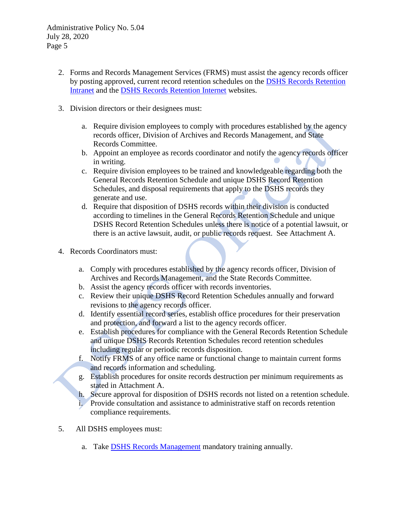- 2. Forms and Records Management Services (FRMS) must assist the agency records officer by posting approved, current record retention schedules on the DSHS [Records Retention](http://one.dshs.wa.lcl/FS/Loss/Records/Pages/Schedules.aspx) [Intranet](http://one.dshs.wa.lcl/FS/Loss/Records/Pages/Schedules.aspx) and the DSHS [Records Retention](https://www.dshs.wa.gov/fsa/forms/dshs-record-schedules) Internet websites.
- 3. Division directors or their designees must:
	- a. Require division employees to comply with procedures established by the agency records officer, Division of Archives and Records Management, and State Records Committee.
	- b. Appoint an employee as records coordinator and notify the agency records officer in writing.
	- c. Require division employees to be trained and knowledgeable regarding both the General Records Retention Schedule and unique DSHS Record Retention Schedules, and disposal requirements that apply to the DSHS records they generate and use.
	- d. Require that disposition of DSHS records within their division is conducted according to timelines in the General Records Retention Schedule and unique DSHS Record Retention Schedules unless there is notice of a potential lawsuit, or there is an active lawsuit, audit, or public records request. See Attachment A.
- 4. Records Coordinators must:
	- a. Comply with procedures established by the agency records officer, Division of Archives and Records Management, and the State Records Committee.
	- b. Assist the agency records officer with records inventories.
	- c. Review their unique DSHS Record Retention Schedules annually and forward revisions to the agency records officer.
	- d. Identify essential record series, establish office procedures for their preservation and protection, and forward a list to the agency records officer.
	- e. Establish procedures for compliance with the General Records Retention Schedule and unique DSHS Records Retention Schedules record retention schedules including regular or periodic records disposition.
	- f. Notify FRMS of any office name or functional change to maintain current forms and records information and scheduling.
	- g. Establish procedures for onsite records destruction per minimum requirements as stated in Attachment A.
	- h. Secure approval for disposition of DSHS records not listed on a retention schedule. i. Provide consultation and assistance to administrative staff on records retention compliance requirements.
- 5. All DSHS employees must:
	- a. Take [DSHS Records Management](https://gm1.geolearning.com/geonext/wasdop/coursesummary.CourseCatalog.geo?id=22506707189) mandatory training annually.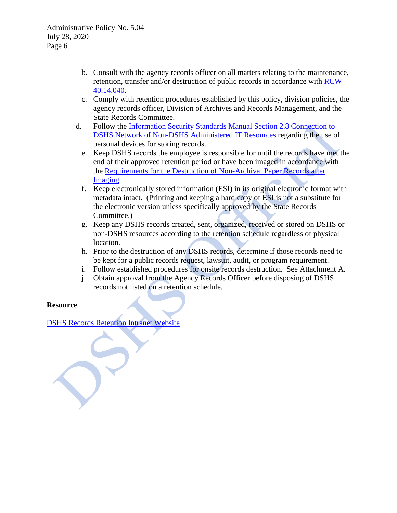- b. Consult with the agency records officer on all matters relating to the maintenance, retention, transfer and/or destruction of public records in accordance with [RCW](https://app.leg.wa.gov/RCW/default.aspx?cite=40.14.040)  [40.14.040.](https://app.leg.wa.gov/RCW/default.aspx?cite=40.14.040)
- c. Comply with retention procedures established by this policy, division policies, the agency records officer, Division of Archives and Records Management, and the State Records Committee.
- d. Follow the [Information Security Standards Manual](http://ishare.dshs.wa.lcl/Security/Manuals/Pages/default.aspx) Section 2.8 Connection to DSHS Network of Non-DSHS Administered IT Resources regarding the use of personal devices for storing records.
	- e. Keep DSHS records the employee is responsible for until the records have met the end of their approved retention period or have been imaged in accordance with the [Requirements for the Destruction of Non-Archival Paper Records after](http://www.sos.wa.gov/_assets/archives/RecordsManagement/Requirements_for_the_Destruction_of_Non-Archival_Paper_Records_After_Imaging_v1.1_May_2012.pdf) [Imaging.](http://www.sos.wa.gov/_assets/archives/RecordsManagement/Requirements_for_the_Destruction_of_Non-Archival_Paper_Records_After_Imaging_v1.1_May_2012.pdf)
	- f. Keep electronically stored information (ESI) in its original electronic format with metadata intact. (Printing and keeping a hard copy of ESI is not a substitute for the electronic version unless specifically approved by the State Records Committee.)
	- g. Keep any DSHS records created, sent, organized, received or stored on DSHS or non-DSHS resources according to the retention schedule regardless of physical location.
	- h. Prior to the destruction of any DSHS records, determine if those records need to be kept for a public records request, lawsuit, audit, or program requirement.
	- i. Follow established procedures for onsite records destruction. See Attachment A.
	- j. Obtain approval from the Agency Records Officer before disposing of DSHS records not listed on a retention schedule.

### **Resource**

[DSHS Records Retention Intranet Website](http://one.dshs.wa.lcl/FS/Loss/Records/Pages/default.aspx)